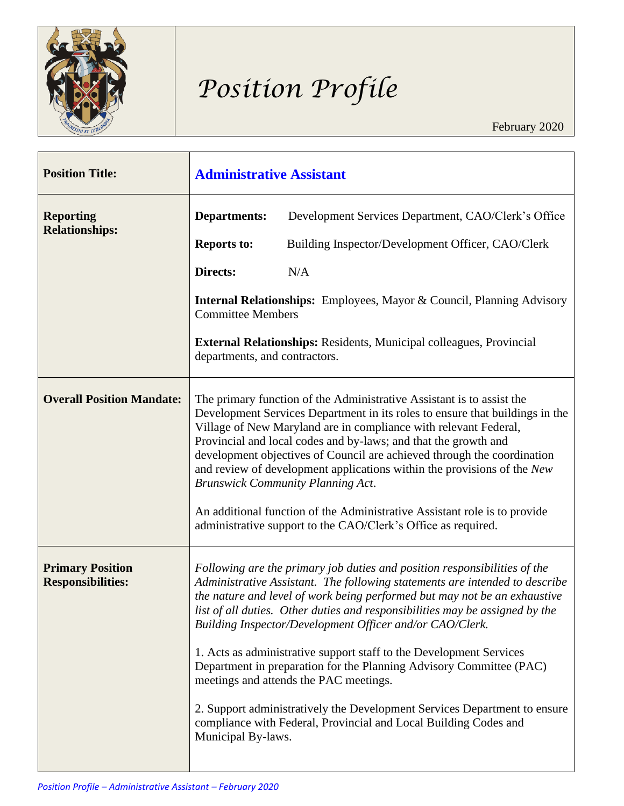

# *Position Profile*

| <b>Position Title:</b>                              | <b>Administrative Assistant</b>                                                                                                                                                                                                                                                                                                                                                                                                                                                                                                                                                                                                              |                                                                                                                                                                                                                                                                                                                                                                                                                                                                                                                                                                                                                                                                                                                            |
|-----------------------------------------------------|----------------------------------------------------------------------------------------------------------------------------------------------------------------------------------------------------------------------------------------------------------------------------------------------------------------------------------------------------------------------------------------------------------------------------------------------------------------------------------------------------------------------------------------------------------------------------------------------------------------------------------------------|----------------------------------------------------------------------------------------------------------------------------------------------------------------------------------------------------------------------------------------------------------------------------------------------------------------------------------------------------------------------------------------------------------------------------------------------------------------------------------------------------------------------------------------------------------------------------------------------------------------------------------------------------------------------------------------------------------------------------|
| <b>Reporting</b><br><b>Relationships:</b>           | <b>Departments:</b>                                                                                                                                                                                                                                                                                                                                                                                                                                                                                                                                                                                                                          | Development Services Department, CAO/Clerk's Office                                                                                                                                                                                                                                                                                                                                                                                                                                                                                                                                                                                                                                                                        |
|                                                     | <b>Reports to:</b>                                                                                                                                                                                                                                                                                                                                                                                                                                                                                                                                                                                                                           | Building Inspector/Development Officer, CAO/Clerk                                                                                                                                                                                                                                                                                                                                                                                                                                                                                                                                                                                                                                                                          |
|                                                     | Directs:                                                                                                                                                                                                                                                                                                                                                                                                                                                                                                                                                                                                                                     | N/A                                                                                                                                                                                                                                                                                                                                                                                                                                                                                                                                                                                                                                                                                                                        |
|                                                     | <b>Internal Relationships:</b> Employees, Mayor & Council, Planning Advisory<br><b>Committee Members</b><br><b>External Relationships:</b> Residents, Municipal colleagues, Provincial<br>departments, and contractors.                                                                                                                                                                                                                                                                                                                                                                                                                      |                                                                                                                                                                                                                                                                                                                                                                                                                                                                                                                                                                                                                                                                                                                            |
|                                                     |                                                                                                                                                                                                                                                                                                                                                                                                                                                                                                                                                                                                                                              |                                                                                                                                                                                                                                                                                                                                                                                                                                                                                                                                                                                                                                                                                                                            |
| <b>Overall Position Mandate:</b>                    | The primary function of the Administrative Assistant is to assist the<br>Development Services Department in its roles to ensure that buildings in the<br>Village of New Maryland are in compliance with relevant Federal,<br>Provincial and local codes and by-laws; and that the growth and<br>development objectives of Council are achieved through the coordination<br>and review of development applications within the provisions of the New<br><b>Brunswick Community Planning Act.</b><br>An additional function of the Administrative Assistant role is to provide<br>administrative support to the CAO/Clerk's Office as required. |                                                                                                                                                                                                                                                                                                                                                                                                                                                                                                                                                                                                                                                                                                                            |
| <b>Primary Position</b><br><b>Responsibilities:</b> | Municipal By-laws.                                                                                                                                                                                                                                                                                                                                                                                                                                                                                                                                                                                                                           | Following are the primary job duties and position responsibilities of the<br>Administrative Assistant. The following statements are intended to describe<br>the nature and level of work being performed but may not be an exhaustive<br>list of all duties. Other duties and responsibilities may be assigned by the<br>Building Inspector/Development Officer and/or CAO/Clerk.<br>1. Acts as administrative support staff to the Development Services<br>Department in preparation for the Planning Advisory Committee (PAC)<br>meetings and attends the PAC meetings.<br>2. Support administratively the Development Services Department to ensure<br>compliance with Federal, Provincial and Local Building Codes and |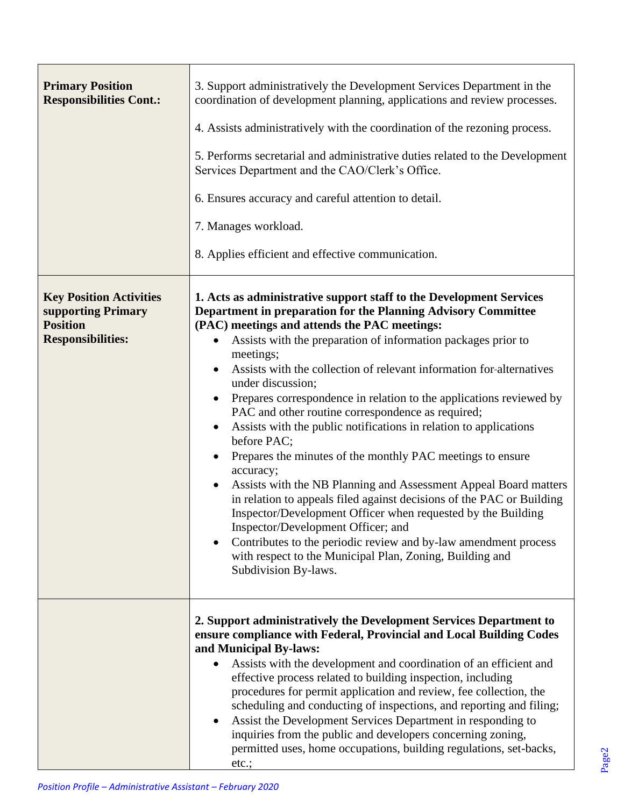| <b>Primary Position</b><br><b>Responsibilities Cont.:</b>                                           | 3. Support administratively the Development Services Department in the<br>coordination of development planning, applications and review processes.<br>4. Assists administratively with the coordination of the rezoning process.<br>5. Performs secretarial and administrative duties related to the Development<br>Services Department and the CAO/Clerk's Office.<br>6. Ensures accuracy and careful attention to detail.<br>7. Manages workload.<br>8. Applies efficient and effective communication.                                                                                                                                                                                                                                                                                                                                                                                                                                                                                                                                                                                       |
|-----------------------------------------------------------------------------------------------------|------------------------------------------------------------------------------------------------------------------------------------------------------------------------------------------------------------------------------------------------------------------------------------------------------------------------------------------------------------------------------------------------------------------------------------------------------------------------------------------------------------------------------------------------------------------------------------------------------------------------------------------------------------------------------------------------------------------------------------------------------------------------------------------------------------------------------------------------------------------------------------------------------------------------------------------------------------------------------------------------------------------------------------------------------------------------------------------------|
| <b>Key Position Activities</b><br>supporting Primary<br><b>Position</b><br><b>Responsibilities:</b> | 1. Acts as administrative support staff to the Development Services<br>Department in preparation for the Planning Advisory Committee<br>(PAC) meetings and attends the PAC meetings:<br>Assists with the preparation of information packages prior to<br>meetings;<br>Assists with the collection of relevant information for-alternatives<br>$\bullet$<br>under discussion;<br>Prepares correspondence in relation to the applications reviewed by<br>PAC and other routine correspondence as required;<br>Assists with the public notifications in relation to applications<br>before PAC;<br>Prepares the minutes of the monthly PAC meetings to ensure<br>accuracy;<br>Assists with the NB Planning and Assessment Appeal Board matters<br>$\bullet$<br>in relation to appeals filed against decisions of the PAC or Building<br>Inspector/Development Officer when requested by the Building<br>Inspector/Development Officer; and<br>Contributes to the periodic review and by-law amendment process<br>with respect to the Municipal Plan, Zoning, Building and<br>Subdivision By-laws. |
|                                                                                                     | 2. Support administratively the Development Services Department to<br>ensure compliance with Federal, Provincial and Local Building Codes<br>and Municipal By-laws:<br>Assists with the development and coordination of an efficient and<br>effective process related to building inspection, including<br>procedures for permit application and review, fee collection, the<br>scheduling and conducting of inspections, and reporting and filing;<br>Assist the Development Services Department in responding to<br>inquiries from the public and developers concerning zoning,<br>permitted uses, home occupations, building regulations, set-backs,<br>etc.;                                                                                                                                                                                                                                                                                                                                                                                                                               |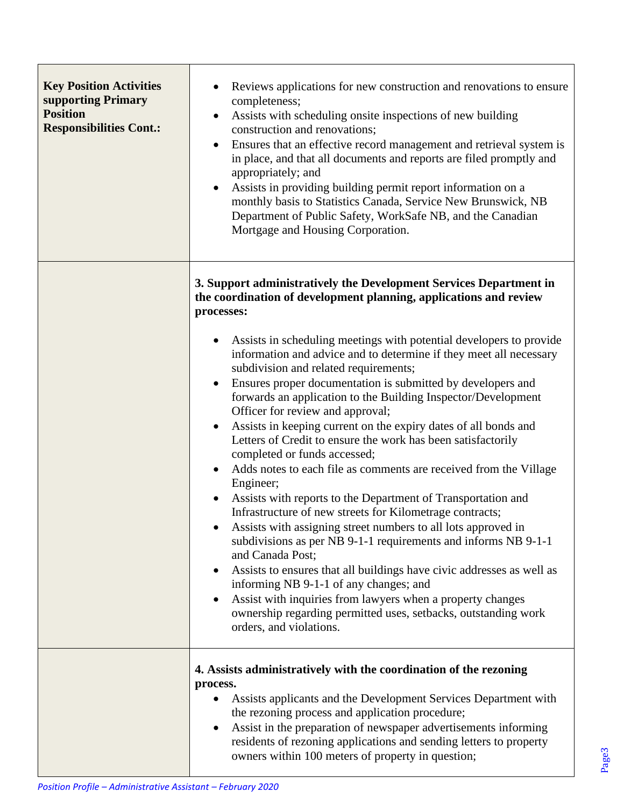| <b>Key Position Activities</b><br>supporting Primary<br><b>Position</b><br><b>Responsibilities Cont.:</b> | Reviews applications for new construction and renovations to ensure<br>completeness;<br>Assists with scheduling onsite inspections of new building<br>$\bullet$<br>construction and renovations;<br>Ensures that an effective record management and retrieval system is<br>$\bullet$<br>in place, and that all documents and reports are filed promptly and<br>appropriately; and<br>Assists in providing building permit report information on a<br>$\bullet$<br>monthly basis to Statistics Canada, Service New Brunswick, NB<br>Department of Public Safety, WorkSafe NB, and the Canadian<br>Mortgage and Housing Corporation.                                                                                                                                                                                                                                                                                                                                                                                                                                                                                                                                                                                                                                                                                                                                                        |
|-----------------------------------------------------------------------------------------------------------|-------------------------------------------------------------------------------------------------------------------------------------------------------------------------------------------------------------------------------------------------------------------------------------------------------------------------------------------------------------------------------------------------------------------------------------------------------------------------------------------------------------------------------------------------------------------------------------------------------------------------------------------------------------------------------------------------------------------------------------------------------------------------------------------------------------------------------------------------------------------------------------------------------------------------------------------------------------------------------------------------------------------------------------------------------------------------------------------------------------------------------------------------------------------------------------------------------------------------------------------------------------------------------------------------------------------------------------------------------------------------------------------|
|                                                                                                           | 3. Support administratively the Development Services Department in<br>the coordination of development planning, applications and review<br>processes:<br>Assists in scheduling meetings with potential developers to provide<br>information and advice and to determine if they meet all necessary<br>subdivision and related requirements;<br>Ensures proper documentation is submitted by developers and<br>$\bullet$<br>forwards an application to the Building Inspector/Development<br>Officer for review and approval;<br>Assists in keeping current on the expiry dates of all bonds and<br>$\bullet$<br>Letters of Credit to ensure the work has been satisfactorily<br>completed or funds accessed;<br>Adds notes to each file as comments are received from the Village<br>Engineer;<br>Assists with reports to the Department of Transportation and<br>$\bullet$<br>Infrastructure of new streets for Kilometrage contracts;<br>Assists with assigning street numbers to all lots approved in<br>subdivisions as per NB 9-1-1 requirements and informs NB 9-1-1<br>and Canada Post;<br>Assists to ensures that all buildings have civic addresses as well as<br>$\bullet$<br>informing NB 9-1-1 of any changes; and<br>Assist with inquiries from lawyers when a property changes<br>ownership regarding permitted uses, setbacks, outstanding work<br>orders, and violations. |
|                                                                                                           | 4. Assists administratively with the coordination of the rezoning<br>process.<br>Assists applicants and the Development Services Department with<br>the rezoning process and application procedure;<br>Assist in the preparation of newspaper advertisements informing<br>residents of rezoning applications and sending letters to property<br>owners within 100 meters of property in question;                                                                                                                                                                                                                                                                                                                                                                                                                                                                                                                                                                                                                                                                                                                                                                                                                                                                                                                                                                                         |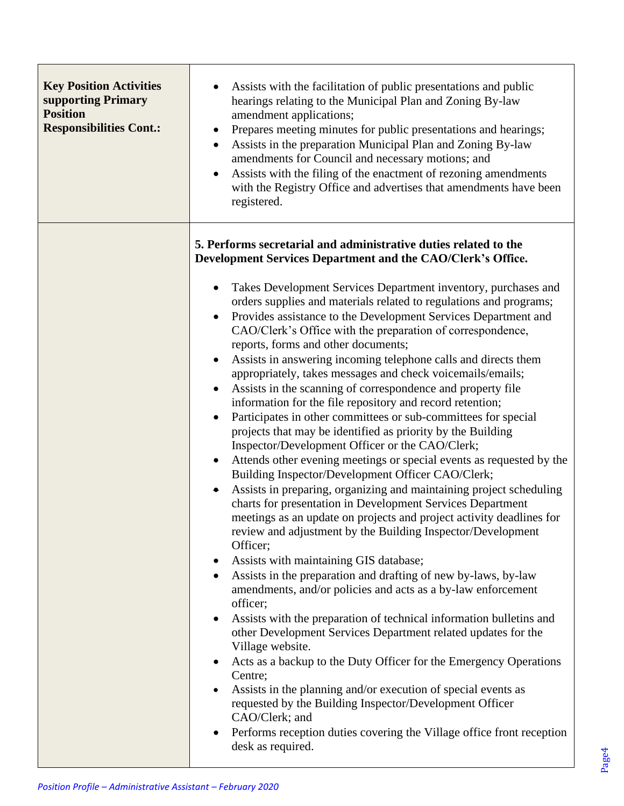| <b>Key Position Activities</b><br>supporting Primary<br><b>Position</b><br><b>Responsibilities Cont.:</b> | Assists with the facilitation of public presentations and public<br>hearings relating to the Municipal Plan and Zoning By-law<br>amendment applications;<br>Prepares meeting minutes for public presentations and hearings;<br>Assists in the preparation Municipal Plan and Zoning By-law<br>$\bullet$<br>amendments for Council and necessary motions; and<br>Assists with the filing of the enactment of rezoning amendments<br>$\bullet$<br>with the Registry Office and advertises that amendments have been<br>registered.                                                                                                                                                                                                                                                                                                                                                                                                                                                                                                                                                                                                                                                                                                                                                                                                                                                                                                                                                                                                                                                                                                                                                                                                                                                                                                                                                                                                                                                      |
|-----------------------------------------------------------------------------------------------------------|---------------------------------------------------------------------------------------------------------------------------------------------------------------------------------------------------------------------------------------------------------------------------------------------------------------------------------------------------------------------------------------------------------------------------------------------------------------------------------------------------------------------------------------------------------------------------------------------------------------------------------------------------------------------------------------------------------------------------------------------------------------------------------------------------------------------------------------------------------------------------------------------------------------------------------------------------------------------------------------------------------------------------------------------------------------------------------------------------------------------------------------------------------------------------------------------------------------------------------------------------------------------------------------------------------------------------------------------------------------------------------------------------------------------------------------------------------------------------------------------------------------------------------------------------------------------------------------------------------------------------------------------------------------------------------------------------------------------------------------------------------------------------------------------------------------------------------------------------------------------------------------------------------------------------------------------------------------------------------------|
|                                                                                                           | 5. Performs secretarial and administrative duties related to the<br>Development Services Department and the CAO/Clerk's Office.                                                                                                                                                                                                                                                                                                                                                                                                                                                                                                                                                                                                                                                                                                                                                                                                                                                                                                                                                                                                                                                                                                                                                                                                                                                                                                                                                                                                                                                                                                                                                                                                                                                                                                                                                                                                                                                       |
|                                                                                                           | Takes Development Services Department inventory, purchases and<br>$\bullet$<br>orders supplies and materials related to regulations and programs;<br>Provides assistance to the Development Services Department and<br>$\bullet$<br>CAO/Clerk's Office with the preparation of correspondence,<br>reports, forms and other documents;<br>Assists in answering incoming telephone calls and directs them<br>$\bullet$<br>appropriately, takes messages and check voicemails/emails;<br>Assists in the scanning of correspondence and property file<br>$\bullet$<br>information for the file repository and record retention;<br>Participates in other committees or sub-committees for special<br>$\bullet$<br>projects that may be identified as priority by the Building<br>Inspector/Development Officer or the CAO/Clerk;<br>Attends other evening meetings or special events as requested by the<br>Building Inspector/Development Officer CAO/Clerk;<br>Assists in preparing, organizing and maintaining project scheduling<br>$\bullet$<br>charts for presentation in Development Services Department<br>meetings as an update on projects and project activity deadlines for<br>review and adjustment by the Building Inspector/Development<br>Officer;<br>Assists with maintaining GIS database;<br>$\bullet$<br>Assists in the preparation and drafting of new by-laws, by-law<br>amendments, and/or policies and acts as a by-law enforcement<br>officer;<br>Assists with the preparation of technical information bulletins and<br>$\bullet$<br>other Development Services Department related updates for the<br>Village website.<br>Acts as a backup to the Duty Officer for the Emergency Operations<br>$\bullet$<br>Centre;<br>Assists in the planning and/or execution of special events as<br>requested by the Building Inspector/Development Officer<br>CAO/Clerk; and<br>Performs reception duties covering the Village office front reception<br>desk as required. |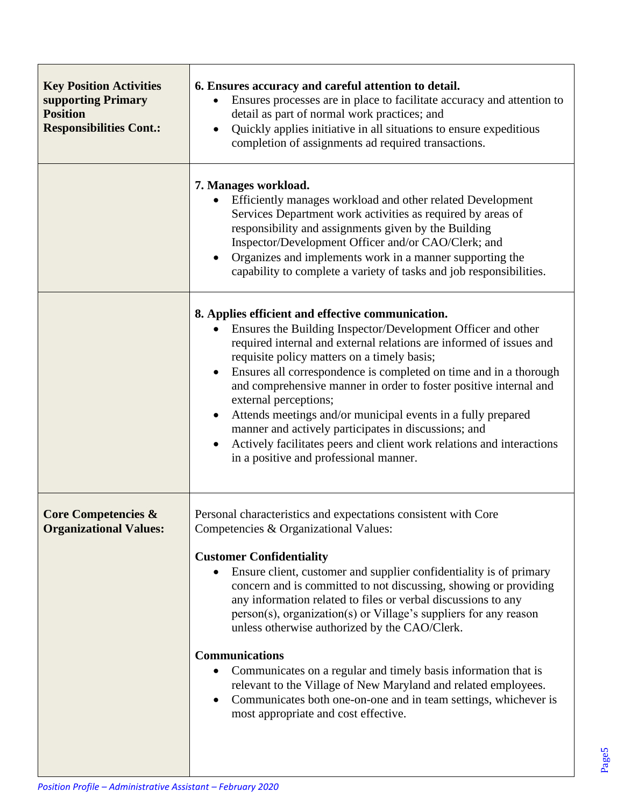| <b>Key Position Activities</b><br>supporting Primary<br><b>Position</b><br><b>Responsibilities Cont.:</b> | 6. Ensures accuracy and careful attention to detail.<br>Ensures processes are in place to facilitate accuracy and attention to<br>detail as part of normal work practices; and<br>Quickly applies initiative in all situations to ensure expeditious<br>completion of assignments ad required transactions.                                                                                                                                                                                                                                                                                                                                                                                                                                        |
|-----------------------------------------------------------------------------------------------------------|----------------------------------------------------------------------------------------------------------------------------------------------------------------------------------------------------------------------------------------------------------------------------------------------------------------------------------------------------------------------------------------------------------------------------------------------------------------------------------------------------------------------------------------------------------------------------------------------------------------------------------------------------------------------------------------------------------------------------------------------------|
|                                                                                                           | 7. Manages workload.<br>Efficiently manages workload and other related Development<br>Services Department work activities as required by areas of<br>responsibility and assignments given by the Building<br>Inspector/Development Officer and/or CAO/Clerk; and<br>Organizes and implements work in a manner supporting the<br>capability to complete a variety of tasks and job responsibilities.                                                                                                                                                                                                                                                                                                                                                |
|                                                                                                           | 8. Applies efficient and effective communication.<br>Ensures the Building Inspector/Development Officer and other<br>required internal and external relations are informed of issues and<br>requisite policy matters on a timely basis;<br>Ensures all correspondence is completed on time and in a thorough<br>and comprehensive manner in order to foster positive internal and<br>external perceptions;<br>Attends meetings and/or municipal events in a fully prepared<br>manner and actively participates in discussions; and<br>Actively facilitates peers and client work relations and interactions<br>in a positive and professional manner.                                                                                              |
| <b>Core Competencies &amp;</b><br><b>Organizational Values:</b>                                           | Personal characteristics and expectations consistent with Core<br>Competencies & Organizational Values:<br><b>Customer Confidentiality</b><br>Ensure client, customer and supplier confidentiality is of primary<br>concern and is committed to not discussing, showing or providing<br>any information related to files or verbal discussions to any<br>person(s), organization(s) or Village's suppliers for any reason<br>unless otherwise authorized by the CAO/Clerk.<br><b>Communications</b><br>Communicates on a regular and timely basis information that is<br>relevant to the Village of New Maryland and related employees.<br>Communicates both one-on-one and in team settings, whichever is<br>most appropriate and cost effective. |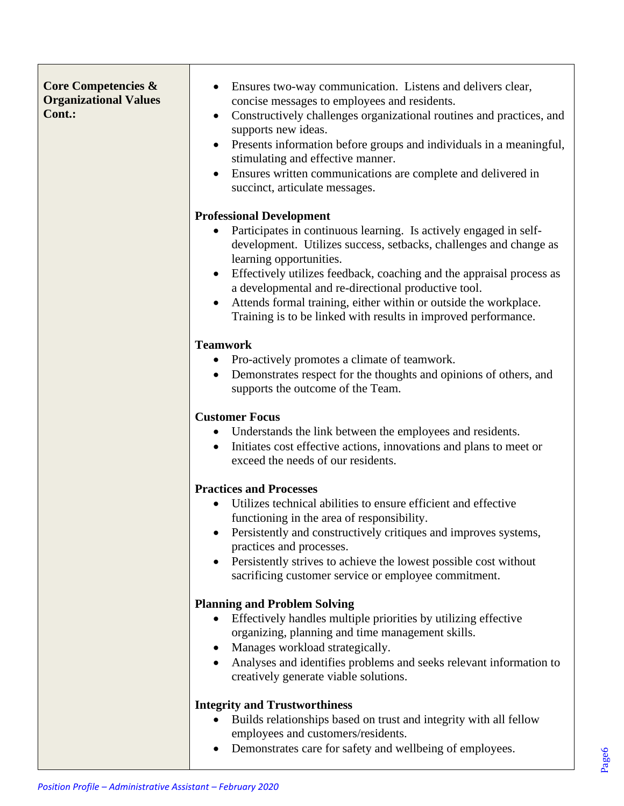#### **Core Competencies & Organizational Values Cont.:**

- Ensures two-way communication. Listens and delivers clear, concise messages to employees and residents.
- Constructively challenges organizational routines and practices, and supports new ideas.
- Presents information before groups and individuals in a meaningful, stimulating and effective manner.
- Ensures written communications are complete and delivered in succinct, articulate messages.

#### **Professional Development**

- Participates in continuous learning. Is actively engaged in selfdevelopment. Utilizes success, setbacks, challenges and change as learning opportunities.
- Effectively utilizes feedback, coaching and the appraisal process as a developmental and re-directional productive tool.
- Attends formal training, either within or outside the workplace. Training is to be linked with results in improved performance.

# **Teamwork**

- Pro-actively promotes a climate of teamwork.
- Demonstrates respect for the thoughts and opinions of others, and supports the outcome of the Team.

# **Customer Focus**

- Understands the link between the employees and residents.
- Initiates cost effective actions, innovations and plans to meet or exceed the needs of our residents.

# **Practices and Processes**

- Utilizes technical abilities to ensure efficient and effective functioning in the area of responsibility.
- Persistently and constructively critiques and improves systems, practices and processes.
- Persistently strives to achieve the lowest possible cost without sacrificing customer service or employee commitment.

# **Planning and Problem Solving**

- Effectively handles multiple priorities by utilizing effective organizing, planning and time management skills.
- Manages workload strategically.
- Analyses and identifies problems and seeks relevant information to creatively generate viable solutions.

# **Integrity and Trustworthiness**

- Builds relationships based on trust and integrity with all fellow employees and customers/residents.
- Demonstrates care for safety and wellbeing of employees.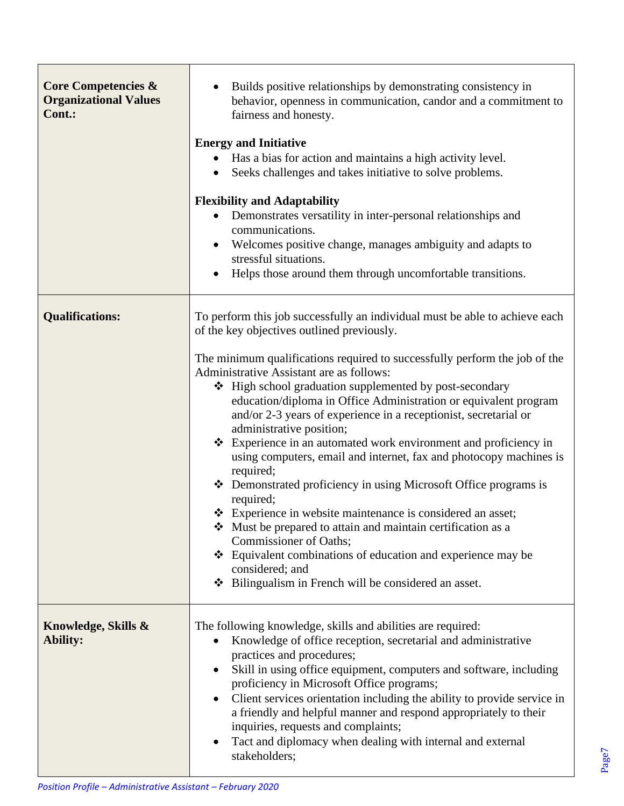| <b>Core Competencies &amp;</b><br><b>Organizational Values</b><br>Cont.: | Builds positive relationships by demonstrating consistency in<br>behavior, openness in communication, candor and a commitment to<br>fairness and honesty.<br><b>Energy and Initiative</b><br>Has a bias for action and maintains a high activity level.<br>Seeks challenges and takes initiative to solve problems.                                                                                                                                                                                                                                                                                                                                                                                                                                                                                                                                                                                                                                                                                                           |  |
|--------------------------------------------------------------------------|-------------------------------------------------------------------------------------------------------------------------------------------------------------------------------------------------------------------------------------------------------------------------------------------------------------------------------------------------------------------------------------------------------------------------------------------------------------------------------------------------------------------------------------------------------------------------------------------------------------------------------------------------------------------------------------------------------------------------------------------------------------------------------------------------------------------------------------------------------------------------------------------------------------------------------------------------------------------------------------------------------------------------------|--|
|                                                                          | <b>Flexibility and Adaptability</b><br>Demonstrates versatility in inter-personal relationships and<br>communications.<br>Welcomes positive change, manages ambiguity and adapts to<br>stressful situations.<br>Helps those around them through uncomfortable transitions.                                                                                                                                                                                                                                                                                                                                                                                                                                                                                                                                                                                                                                                                                                                                                    |  |
| <b>Qualifications:</b>                                                   | To perform this job successfully an individual must be able to achieve each<br>of the key objectives outlined previously.<br>The minimum qualifications required to successfully perform the job of the<br>Administrative Assistant are as follows:<br>❖ High school graduation supplemented by post-secondary<br>education/diploma in Office Administration or equivalent program<br>and/or 2-3 years of experience in a receptionist, secretarial or<br>administrative position;<br>❖ Experience in an automated work environment and proficiency in<br>using computers, email and internet, fax and photocopy machines is<br>required;<br>❖ Demonstrated proficiency in using Microsoft Office programs is<br>required;<br>❖ Experience in website maintenance is considered an asset;<br>Must be prepared to attain and maintain certification as a<br>Commissioner of Oaths;<br>❖ Equivalent combinations of education and experience may be<br>considered; and<br>❖ Bilingualism in French will be considered an asset. |  |
| Knowledge, Skills &<br>Ability:                                          | The following knowledge, skills and abilities are required:<br>Knowledge of office reception, secretarial and administrative<br>$\bullet$<br>practices and procedures;<br>Skill in using office equipment, computers and software, including<br>proficiency in Microsoft Office programs;<br>Client services orientation including the ability to provide service in<br>a friendly and helpful manner and respond appropriately to their<br>inquiries, requests and complaints;<br>Tact and diplomacy when dealing with internal and external<br>stakeholders;                                                                                                                                                                                                                                                                                                                                                                                                                                                                |  |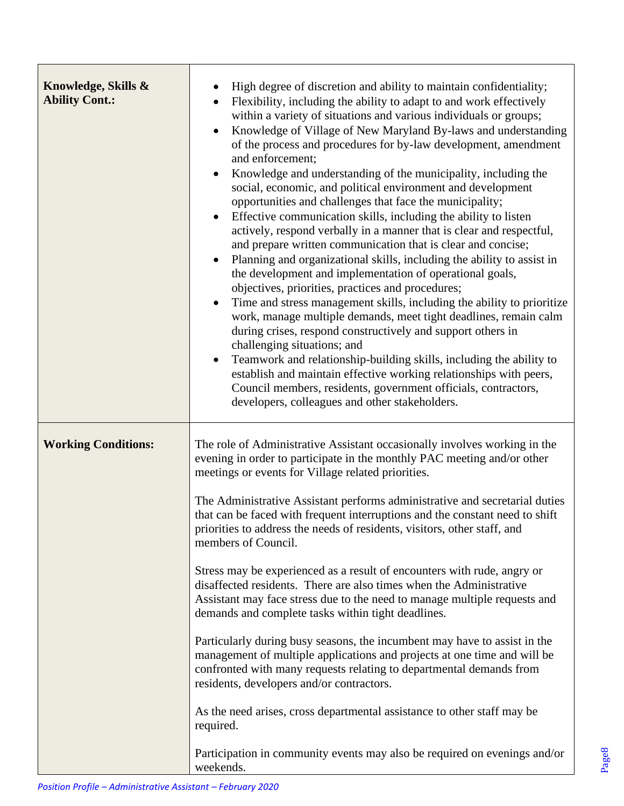| Knowledge, Skills &<br><b>Ability Cont.:</b> | High degree of discretion and ability to maintain confidentiality;<br>Flexibility, including the ability to adapt to and work effectively<br>within a variety of situations and various individuals or groups;<br>Knowledge of Village of New Maryland By-laws and understanding<br>of the process and procedures for by-law development, amendment<br>and enforcement;<br>Knowledge and understanding of the municipality, including the<br>social, economic, and political environment and development<br>opportunities and challenges that face the municipality;<br>Effective communication skills, including the ability to listen<br>actively, respond verbally in a manner that is clear and respectful,<br>and prepare written communication that is clear and concise;<br>Planning and organizational skills, including the ability to assist in<br>$\bullet$<br>the development and implementation of operational goals,<br>objectives, priorities, practices and procedures;<br>Time and stress management skills, including the ability to prioritize<br>work, manage multiple demands, meet tight deadlines, remain calm<br>during crises, respond constructively and support others in<br>challenging situations; and<br>Teamwork and relationship-building skills, including the ability to<br>$\bullet$<br>establish and maintain effective working relationships with peers,<br>Council members, residents, government officials, contractors,<br>developers, colleagues and other stakeholders. |  |
|----------------------------------------------|-------------------------------------------------------------------------------------------------------------------------------------------------------------------------------------------------------------------------------------------------------------------------------------------------------------------------------------------------------------------------------------------------------------------------------------------------------------------------------------------------------------------------------------------------------------------------------------------------------------------------------------------------------------------------------------------------------------------------------------------------------------------------------------------------------------------------------------------------------------------------------------------------------------------------------------------------------------------------------------------------------------------------------------------------------------------------------------------------------------------------------------------------------------------------------------------------------------------------------------------------------------------------------------------------------------------------------------------------------------------------------------------------------------------------------------------------------------------------------------------------------------------|--|
| <b>Working Conditions:</b>                   | The role of Administrative Assistant occasionally involves working in the<br>evening in order to participate in the monthly PAC meeting and/or other<br>meetings or events for Village related priorities.<br>The Administrative Assistant performs administrative and secretarial duties<br>that can be faced with frequent interruptions and the constant need to shift<br>priorities to address the needs of residents, visitors, other staff, and<br>members of Council.                                                                                                                                                                                                                                                                                                                                                                                                                                                                                                                                                                                                                                                                                                                                                                                                                                                                                                                                                                                                                                      |  |
|                                              |                                                                                                                                                                                                                                                                                                                                                                                                                                                                                                                                                                                                                                                                                                                                                                                                                                                                                                                                                                                                                                                                                                                                                                                                                                                                                                                                                                                                                                                                                                                   |  |
|                                              | Stress may be experienced as a result of encounters with rude, angry or<br>disaffected residents. There are also times when the Administrative<br>Assistant may face stress due to the need to manage multiple requests and<br>demands and complete tasks within tight deadlines.                                                                                                                                                                                                                                                                                                                                                                                                                                                                                                                                                                                                                                                                                                                                                                                                                                                                                                                                                                                                                                                                                                                                                                                                                                 |  |
|                                              | Particularly during busy seasons, the incumbent may have to assist in the<br>management of multiple applications and projects at one time and will be<br>confronted with many requests relating to departmental demands from<br>residents, developers and/or contractors.                                                                                                                                                                                                                                                                                                                                                                                                                                                                                                                                                                                                                                                                                                                                                                                                                                                                                                                                                                                                                                                                                                                                                                                                                                         |  |
|                                              | As the need arises, cross departmental assistance to other staff may be<br>required.                                                                                                                                                                                                                                                                                                                                                                                                                                                                                                                                                                                                                                                                                                                                                                                                                                                                                                                                                                                                                                                                                                                                                                                                                                                                                                                                                                                                                              |  |
|                                              | Participation in community events may also be required on evenings and/or<br>weekends.                                                                                                                                                                                                                                                                                                                                                                                                                                                                                                                                                                                                                                                                                                                                                                                                                                                                                                                                                                                                                                                                                                                                                                                                                                                                                                                                                                                                                            |  |

Г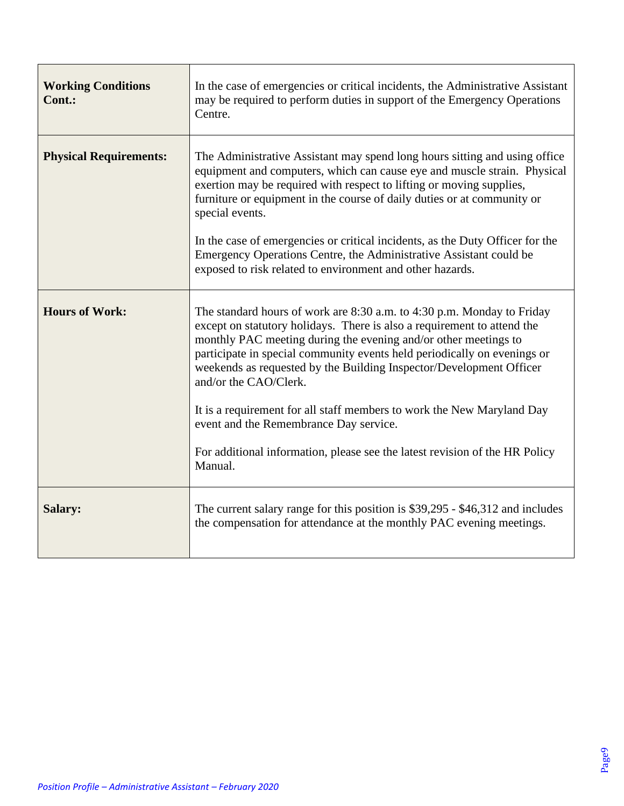| <b>Working Conditions</b><br>Cont.: | In the case of emergencies or critical incidents, the Administrative Assistant<br>may be required to perform duties in support of the Emergency Operations<br>Centre.                                                                                                                                                                                                                                         |
|-------------------------------------|---------------------------------------------------------------------------------------------------------------------------------------------------------------------------------------------------------------------------------------------------------------------------------------------------------------------------------------------------------------------------------------------------------------|
| <b>Physical Requirements:</b>       | The Administrative Assistant may spend long hours sitting and using office<br>equipment and computers, which can cause eye and muscle strain. Physical<br>exertion may be required with respect to lifting or moving supplies,<br>furniture or equipment in the course of daily duties or at community or<br>special events.<br>In the case of emergencies or critical incidents, as the Duty Officer for the |
|                                     | Emergency Operations Centre, the Administrative Assistant could be<br>exposed to risk related to environment and other hazards.                                                                                                                                                                                                                                                                               |
| <b>Hours of Work:</b>               | The standard hours of work are 8:30 a.m. to 4:30 p.m. Monday to Friday<br>except on statutory holidays. There is also a requirement to attend the<br>monthly PAC meeting during the evening and/or other meetings to<br>participate in special community events held periodically on evenings or<br>weekends as requested by the Building Inspector/Development Officer<br>and/or the CAO/Clerk.              |
|                                     | It is a requirement for all staff members to work the New Maryland Day<br>event and the Remembrance Day service.                                                                                                                                                                                                                                                                                              |
|                                     | For additional information, please see the latest revision of the HR Policy<br>Manual.                                                                                                                                                                                                                                                                                                                        |
| <b>Salary:</b>                      | The current salary range for this position is \$39,295 - \$46,312 and includes<br>the compensation for attendance at the monthly PAC evening meetings.                                                                                                                                                                                                                                                        |